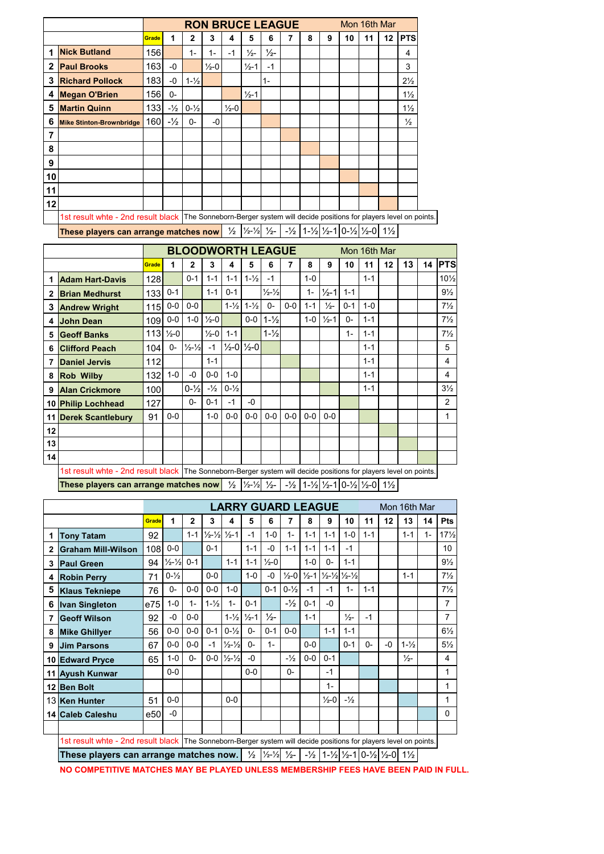|              |                                       |              | <b>RON BRUCE LEAGUE</b><br>Mon 16th Mar                                                                             |                   |                   |                   |                   |               |                                                                                                                                                                                                     |   |   |    |    |         |                |
|--------------|---------------------------------------|--------------|---------------------------------------------------------------------------------------------------------------------|-------------------|-------------------|-------------------|-------------------|---------------|-----------------------------------------------------------------------------------------------------------------------------------------------------------------------------------------------------|---|---|----|----|---------|----------------|
|              |                                       | Grade        |                                                                                                                     | 2                 | 3                 | 4                 | 5                 | 6             |                                                                                                                                                                                                     | 8 | 9 | 10 | 11 | $12 \,$ | <b>PTS</b>     |
| 1            | <b>Nick Butland</b>                   | 156 <b>I</b> |                                                                                                                     | $1 -$             | $1 -$             | $-1$              | $\frac{1}{2}$     | $\frac{1}{2}$ |                                                                                                                                                                                                     |   |   |    |    |         | 4              |
| $\mathbf{2}$ | <b>Paul Brooks</b>                    | 163          | $-0$                                                                                                                |                   | $\frac{1}{2} - 0$ |                   | $\frac{1}{2} - 1$ | $-1$          |                                                                                                                                                                                                     |   |   |    |    |         | 3              |
| 3            | <b>Richard Pollock</b>                | 183 <b>I</b> | -0                                                                                                                  | $1 - \frac{1}{2}$ |                   |                   |                   | $1 -$         |                                                                                                                                                                                                     |   |   |    |    |         | $2\frac{1}{2}$ |
| 4            | <b>Megan O'Brien</b>                  | 156          | $0-$                                                                                                                |                   |                   |                   | $\frac{1}{2} - 1$ |               |                                                                                                                                                                                                     |   |   |    |    |         | $1\frac{1}{2}$ |
| 5            | <b>Martin Quinn</b>                   | 133          | $-1/2$                                                                                                              | $0 - \frac{1}{2}$ |                   | $\frac{1}{2} - 0$ |                   |               |                                                                                                                                                                                                     |   |   |    |    |         | $1\frac{1}{2}$ |
| 6            | <b>Mike Stinton-Brownbridge</b>       | 160          | $-\frac{1}{2}$                                                                                                      | 0-                | -0                |                   |                   |               |                                                                                                                                                                                                     |   |   |    |    |         | $\frac{1}{2}$  |
|              |                                       |              |                                                                                                                     |                   |                   |                   |                   |               |                                                                                                                                                                                                     |   |   |    |    |         |                |
| 8            |                                       |              |                                                                                                                     |                   |                   |                   |                   |               |                                                                                                                                                                                                     |   |   |    |    |         |                |
| 9            |                                       |              |                                                                                                                     |                   |                   |                   |                   |               |                                                                                                                                                                                                     |   |   |    |    |         |                |
| 10I          |                                       |              |                                                                                                                     |                   |                   |                   |                   |               |                                                                                                                                                                                                     |   |   |    |    |         |                |
| 11           |                                       |              |                                                                                                                     |                   |                   |                   |                   |               |                                                                                                                                                                                                     |   |   |    |    |         |                |
| 12           |                                       |              |                                                                                                                     |                   |                   |                   |                   |               |                                                                                                                                                                                                     |   |   |    |    |         |                |
|              |                                       |              | 1st result whte - 2nd result black   The Sonneborn-Berger system will decide positions for players level on points. |                   |                   |                   |                   |               |                                                                                                                                                                                                     |   |   |    |    |         |                |
|              | These players can arrange matches now |              |                                                                                                                     |                   |                   |                   |                   |               | $\frac{1}{2}$ $\frac{1}{2}$ $\frac{1}{2}$ $\frac{1}{2}$ $\frac{1}{2}$ $\frac{1}{2}$ $\frac{1}{2}$ $\frac{1}{2}$ $\frac{1}{2}$ $\frac{1}{2}$ $\frac{1}{2}$ $\frac{1}{2}$ $\frac{1}{2}$ $\frac{1}{2}$ |   |   |    |    |         |                |

|    |                        | <b>BLOODWORTH LEAGUE</b><br>Mon 16th Mar                                                                          |                        |                             |                   |                   |                                   |                             |       |         |                   |         |         |    |    |    |                 |
|----|------------------------|-------------------------------------------------------------------------------------------------------------------|------------------------|-----------------------------|-------------------|-------------------|-----------------------------------|-----------------------------|-------|---------|-------------------|---------|---------|----|----|----|-----------------|
|    |                        | Grade                                                                                                             |                        | 2                           | 3                 | 4                 | 5                                 | 6                           | 7     | 8       | 9                 | 10      | 11      | 12 | 13 | 14 | <b>IPTS</b>     |
|    | <b>Adam Hart-Davis</b> | 128                                                                                                               |                        | $0 - 1$                     | $1 - 1$           | $1 - 1$           | $1 - \frac{1}{2}$                 | $-1$                        |       | $1-0$   |                   |         | $1 - 1$ |    |    |    | $10\frac{1}{2}$ |
| 2  | <b>Brian Medhurst</b>  | 133                                                                                                               | $0 - 1$                |                             | $1 - 1$           | $0 - 1$           |                                   | $\frac{1}{2} - \frac{1}{2}$ |       | $1 -$   | $\frac{1}{2} - 1$ | $1 - 1$ |         |    |    |    | $9\frac{1}{2}$  |
| 3  | <b>Andrew Wright</b>   | 115                                                                                                               | $0-0$                  | $0-0$                       |                   | $1 - \frac{1}{2}$ | $1 - \frac{1}{2}$                 | $0-$                        | $0-0$ | $1 - 1$ | $\frac{1}{2}$     | $0 - 1$ | $1 - 0$ |    |    |    | $7\frac{1}{2}$  |
| 4  | <b>John Dean</b>       | 109                                                                                                               | $0-0$                  | $1-0$                       | $\frac{1}{2} - 0$ |                   | $0-0$                             | $1 - \frac{1}{2}$           |       | $1-0$   | $\frac{1}{2}$ -1  | $0-$    | $1 - 1$ |    |    |    | $7\frac{1}{2}$  |
| 5  | <b>Geoff Banks</b>     |                                                                                                                   | $113$ $\frac{1}{2}$ -0 |                             | $\frac{1}{2} - 0$ | $1 - 1$           |                                   | $1 - \frac{1}{2}$           |       |         |                   | $1 -$   | $1 - 1$ |    |    |    | $7\frac{1}{2}$  |
| 6  | <b>Clifford Peach</b>  | 104                                                                                                               | 0-                     | $\frac{1}{2} - \frac{1}{2}$ | $-1$              |                   | $\frac{1}{2}$ -0 $\frac{1}{2}$ -0 |                             |       |         |                   |         | $1 - 1$ |    |    |    | 5               |
| 7  | <b>Daniel Jervis</b>   | 112                                                                                                               |                        |                             | $1 - 1$           |                   |                                   |                             |       |         |                   |         | $1 - 1$ |    |    |    | 4               |
| 8  | <b>Rob Wilby</b>       | 132                                                                                                               | $1-0$                  | $-0$                        | $0-0$             | $1 - 0$           |                                   |                             |       |         |                   |         | $1 - 1$ |    |    |    | 4               |
| 9  | <b>Alan Crickmore</b>  | 100                                                                                                               |                        | $0 - \frac{1}{2}$           | $-1/2$            | $0 - \frac{1}{2}$ |                                   |                             |       |         |                   |         | $1 - 1$ |    |    |    | $3\frac{1}{2}$  |
|    | 10 Philip Lochhead     | 127                                                                                                               |                        | $0-$                        | $0 - 1$           | $-1$              | $-0$                              |                             |       |         |                   |         |         |    |    |    | $\overline{2}$  |
|    | 11 Derek Scantlebury   | 91                                                                                                                | $0-0$                  |                             | $1-0$             | $0-0$             | $0-0$                             | $0-0$                       | $0-0$ | $0-0$   | $0-0$             |         |         |    |    |    | 1               |
| 12 |                        |                                                                                                                   |                        |                             |                   |                   |                                   |                             |       |         |                   |         |         |    |    |    |                 |
| 13 |                        |                                                                                                                   |                        |                             |                   |                   |                                   |                             |       |         |                   |         |         |    |    |    |                 |
| 14 |                        |                                                                                                                   |                        |                             |                   |                   |                                   |                             |       |         |                   |         |         |    |    |    |                 |
|    |                        | 1st result whte - 2nd result black The Sonneborn-Berger system will decide positions for players level on points. |                        |                             |                   |                   |                                   |                             |       |         |                   |         |         |    |    |    |                 |

**These players can arrange matches now**  $\frac{1}{2}$   $\frac{1}{2}$   $\frac{1}{2}$   $\frac{1}{2}$   $\frac{1}{2}$   $\frac{1}{2}$   $\frac{1}{2}$   $\frac{1}{2}$   $\frac{1}{2}$   $\frac{1}{2}$   $\frac{1}{2}$   $\frac{1}{2}$   $\frac{1}{2}$ 

|              |                                                                                                                   | <b>LARRY GUARD LEAGUE</b><br>Mon 16th Mar |                             |              |                                               |                                     |                                     |                   |                                     |         |                   |                                                       |         |      |                   |       |                 |
|--------------|-------------------------------------------------------------------------------------------------------------------|-------------------------------------------|-----------------------------|--------------|-----------------------------------------------|-------------------------------------|-------------------------------------|-------------------|-------------------------------------|---------|-------------------|-------------------------------------------------------|---------|------|-------------------|-------|-----------------|
|              |                                                                                                                   | Grade                                     | 1                           | $\mathbf{2}$ | 3                                             | 4                                   | 5                                   | 6                 | 7                                   | 8       | 9                 | 10                                                    | 11      | 12   | 13                | 14    | Pts             |
|              | <b>Tony Tatam</b>                                                                                                 | 92                                        |                             | $1 - 1$      | $\frac{1}{2} - \frac{1}{2}$ $\frac{1}{2} - 1$ |                                     | $-1$                                | $1-0$             | $1 -$                               | $1 - 1$ | $1 - 1$           | $1 - 0$                                               | $1 - 1$ |      | $1 - 1$           | $1 -$ | $17\frac{1}{2}$ |
| $\mathbf{2}$ | <b>Graham Mill-Wilson</b>                                                                                         | 108                                       | $0-0$                       |              | $0 - 1$                                       |                                     | $1 - 1$                             | -0                | $1 - 1$                             | $1 - 1$ | $1 - 1$           | $-1$                                                  |         |      |                   |       | 10              |
| 3            | <b>Paul Green</b>                                                                                                 | 94                                        | $\frac{1}{2} - \frac{1}{2}$ | $0 - 1$      |                                               | $1 - 1$                             | $1 - 1$                             | $\frac{1}{2} - 0$ |                                     | $1 - 0$ | $0-$              | $1 - 1$                                               |         |      |                   |       | $9\frac{1}{2}$  |
| 4            | <b>Robin Perry</b>                                                                                                | 71                                        | $0 - \frac{1}{2}$           |              | $0-0$                                         |                                     | $1-0$                               | -0                | $\frac{1}{2} - 0$ $\frac{1}{2} - 1$ |         |                   | $\frac{1}{2} - \frac{1}{2} \frac{1}{2} - \frac{1}{2}$ |         |      | $1 - 1$           |       | $7\frac{1}{2}$  |
| 5            | <b>Klaus Tekniepe</b>                                                                                             | 76                                        | $0-$                        | $0-0$        | $0-0$                                         | $1-0$                               |                                     | $0 - 1$           | $0 - \frac{1}{2}$                   | $-1$    | $-1$              | $1 -$                                                 | $1 - 1$ |      |                   |       | $7\frac{1}{2}$  |
| 6            | <b>Ivan Singleton</b>                                                                                             | e75                                       | $1 - 0$                     | $1 -$        | $1 - \frac{1}{2}$                             | $1 -$                               | $0 - 1$                             |                   | $-1/2$                              | $0 - 1$ | -0                |                                                       |         |      |                   |       | $\overline{7}$  |
| 7            | <b>Geoff Wilson</b>                                                                                               | 92                                        | -0                          | $0-0$        |                                               |                                     | $1 - \frac{1}{2}$ $\frac{1}{2} - 1$ | $\frac{1}{2}$     |                                     | $1 - 1$ |                   | $\frac{1}{2}$                                         | $-1$    |      |                   |       | $\overline{7}$  |
| 8            | <b>Mike Ghillyer</b>                                                                                              | 56                                        | $0-0$                       | $0-0$        | $0 - 1$                                       | $0 - \frac{1}{2}$                   | $0-$                                | $0 - 1$           | $0-0$                               |         | $1 - 1$           | $1 - 1$                                               |         |      |                   |       | $6\frac{1}{2}$  |
|              | 9 Jim Parsons                                                                                                     | 67                                        | $0-0$                       | $0-0$        | $-1$                                          | $\frac{1}{2} - \frac{1}{2}$         | $0-$                                | $1 -$             |                                     | $0-0$   |                   | $0 - 1$                                               | $0-$    | $-0$ | $1 - \frac{1}{2}$ |       | $5\frac{1}{2}$  |
|              | 10 Edward Pryce                                                                                                   | 65                                        | $1 - 0$                     | $0-$         |                                               | $0 - 0$ $\frac{1}{2} - \frac{1}{2}$ | $-0$                                |                   | $-1/2$                              | $0-0$   | $0 - 1$           |                                                       |         |      | $\frac{1}{2}$     |       | 4               |
|              | 11 Ayush Kunwar                                                                                                   |                                           | $0-0$                       |              |                                               |                                     | $0-0$                               |                   | $0-$                                |         | $-1$              |                                                       |         |      |                   |       | 1               |
|              | 12 Ben Bolt                                                                                                       |                                           |                             |              |                                               |                                     |                                     |                   |                                     |         | $1 -$             |                                                       |         |      |                   |       | 1               |
|              | 13 Ken Hunter                                                                                                     | 51                                        | $0-0$                       |              |                                               | $0-0$                               |                                     |                   |                                     |         | $\frac{1}{2} - 0$ | $-1/2$                                                |         |      |                   |       | 1               |
|              | 14 Caleb Caleshu                                                                                                  | e50                                       | -0                          |              |                                               |                                     |                                     |                   |                                     |         |                   |                                                       |         |      |                   |       | $\Omega$        |
|              |                                                                                                                   |                                           |                             |              |                                               |                                     |                                     |                   |                                     |         |                   |                                                       |         |      |                   |       |                 |
|              | 1st result whte - 2nd result black The Sonneborn-Berger system will decide positions for players level on points. |                                           |                             |              |                                               |                                     |                                     |                   |                                     |         |                   |                                                       |         |      |                   |       |                 |

**These players can arrange matches now.**  $\frac{1}{2}$   $\frac{1}{2}$   $\frac{1}{2}$   $\frac{1}{2}$   $\frac{1}{2}$   $\frac{1}{2}$   $\frac{1}{2}$   $\frac{1}{2}$   $\frac{1}{2}$   $\frac{1}{2}$   $\frac{1}{2}$   $\frac{1}{2}$ 

**NO COMPETITIVE MATCHES MAY BE PLAYED UNLESS MEMBERSHIP FEES HAVE BEEN PAID IN FULL.**